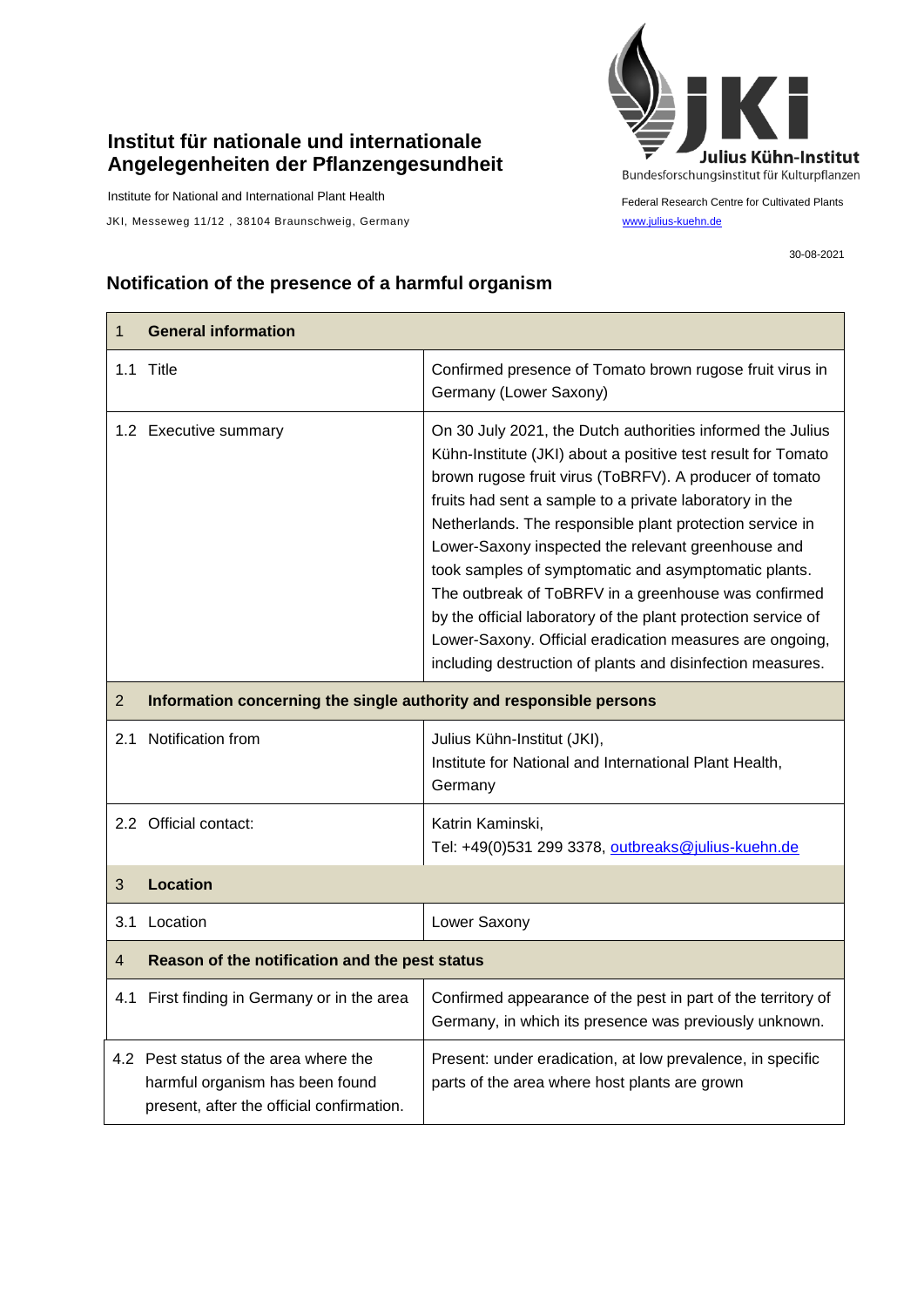## **Institut für nationale und internationale Angelegenheiten der Pflanzengesundheit**

Institute for National and International Plant Health

JKI, Messeweg 11/12, 38104 Braunschweig, Germany [www.julius-kuehn.de](http://www.julius-kuehn.de/)



Federal Research Centre for Cultivated Plants

30-08-2021

## **Notification of the presence of a harmful organism**

| $\mathbf{1}$   | <b>General information</b>                                                                                            |                                                                                                                                                                                                                                                                                                                                                                                                                                                                                                                                                                                                                                                                               |
|----------------|-----------------------------------------------------------------------------------------------------------------------|-------------------------------------------------------------------------------------------------------------------------------------------------------------------------------------------------------------------------------------------------------------------------------------------------------------------------------------------------------------------------------------------------------------------------------------------------------------------------------------------------------------------------------------------------------------------------------------------------------------------------------------------------------------------------------|
|                | 1.1 Title                                                                                                             | Confirmed presence of Tomato brown rugose fruit virus in<br>Germany (Lower Saxony)                                                                                                                                                                                                                                                                                                                                                                                                                                                                                                                                                                                            |
|                | 1.2 Executive summary                                                                                                 | On 30 July 2021, the Dutch authorities informed the Julius<br>Kühn-Institute (JKI) about a positive test result for Tomato<br>brown rugose fruit virus (ToBRFV). A producer of tomato<br>fruits had sent a sample to a private laboratory in the<br>Netherlands. The responsible plant protection service in<br>Lower-Saxony inspected the relevant greenhouse and<br>took samples of symptomatic and asymptomatic plants.<br>The outbreak of ToBRFV in a greenhouse was confirmed<br>by the official laboratory of the plant protection service of<br>Lower-Saxony. Official eradication measures are ongoing,<br>including destruction of plants and disinfection measures. |
| $\overline{2}$ | Information concerning the single authority and responsible persons                                                   |                                                                                                                                                                                                                                                                                                                                                                                                                                                                                                                                                                                                                                                                               |
|                | 2.1 Notification from                                                                                                 | Julius Kühn-Institut (JKI),<br>Institute for National and International Plant Health,<br>Germany                                                                                                                                                                                                                                                                                                                                                                                                                                                                                                                                                                              |
|                | 2.2 Official contact:                                                                                                 | Katrin Kaminski,<br>Tel: +49(0)531 299 3378, outbreaks@julius-kuehn.de                                                                                                                                                                                                                                                                                                                                                                                                                                                                                                                                                                                                        |
| 3              | <b>Location</b>                                                                                                       |                                                                                                                                                                                                                                                                                                                                                                                                                                                                                                                                                                                                                                                                               |
|                | 3.1 Location                                                                                                          | Lower Saxony                                                                                                                                                                                                                                                                                                                                                                                                                                                                                                                                                                                                                                                                  |
| $\overline{4}$ | Reason of the notification and the pest status                                                                        |                                                                                                                                                                                                                                                                                                                                                                                                                                                                                                                                                                                                                                                                               |
|                | 4.1 First finding in Germany or in the area                                                                           | Confirmed appearance of the pest in part of the territory of<br>Germany, in which its presence was previously unknown.                                                                                                                                                                                                                                                                                                                                                                                                                                                                                                                                                        |
|                | 4.2 Pest status of the area where the<br>harmful organism has been found<br>present, after the official confirmation. | Present: under eradication, at low prevalence, in specific<br>parts of the area where host plants are grown                                                                                                                                                                                                                                                                                                                                                                                                                                                                                                                                                                   |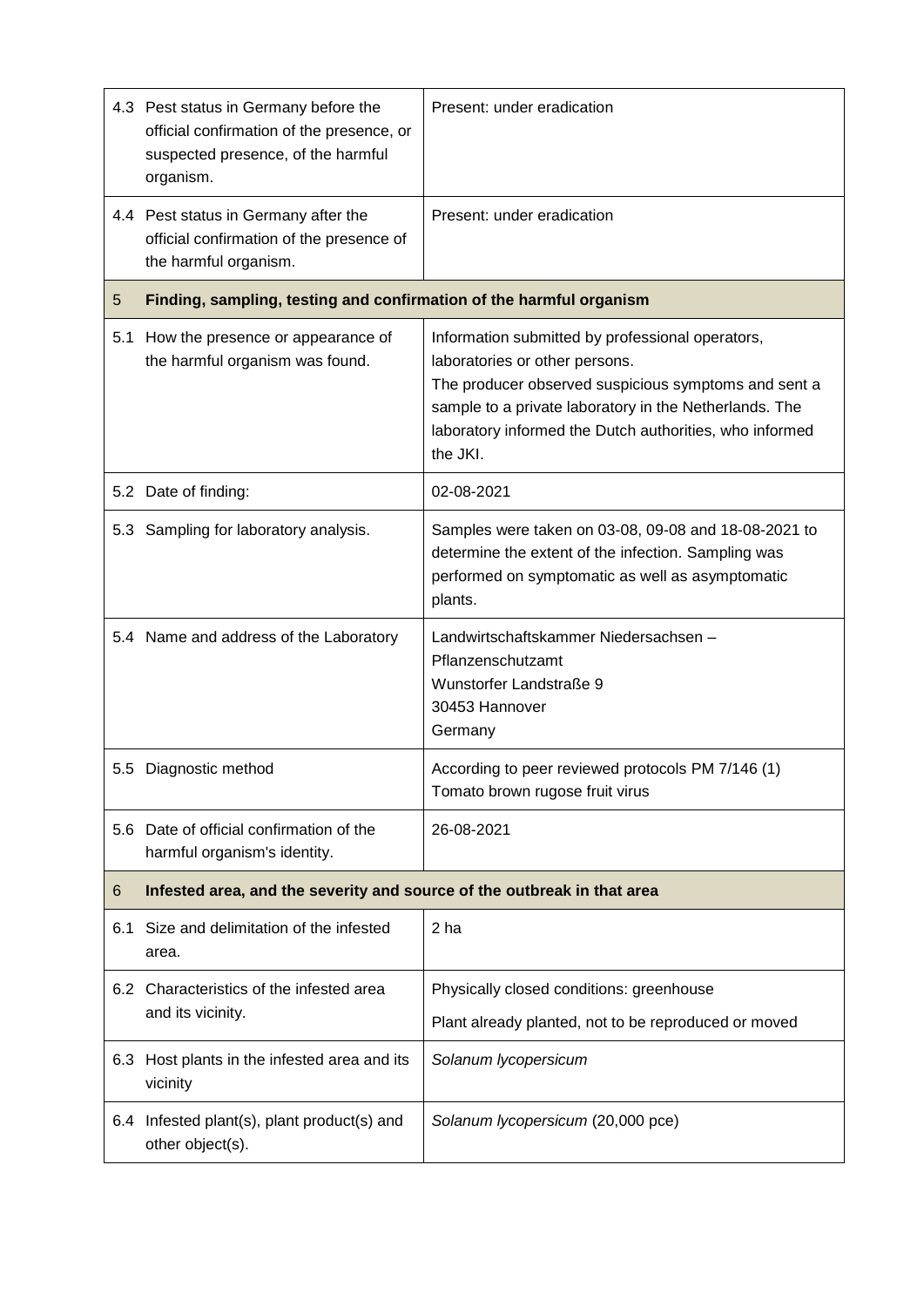|     | 4.3 Pest status in Germany before the<br>official confirmation of the presence, or<br>suspected presence, of the harmful<br>organism. | Present: under eradication                                                                                                                                                                                                                                                  |  |
|-----|---------------------------------------------------------------------------------------------------------------------------------------|-----------------------------------------------------------------------------------------------------------------------------------------------------------------------------------------------------------------------------------------------------------------------------|--|
|     | 4.4 Pest status in Germany after the<br>official confirmation of the presence of<br>the harmful organism.                             | Present: under eradication                                                                                                                                                                                                                                                  |  |
| 5   | Finding, sampling, testing and confirmation of the harmful organism                                                                   |                                                                                                                                                                                                                                                                             |  |
| 5.1 | How the presence or appearance of<br>the harmful organism was found.                                                                  | Information submitted by professional operators,<br>laboratories or other persons.<br>The producer observed suspicious symptoms and sent a<br>sample to a private laboratory in the Netherlands. The<br>laboratory informed the Dutch authorities, who informed<br>the JKI. |  |
|     | 5.2 Date of finding:                                                                                                                  | 02-08-2021                                                                                                                                                                                                                                                                  |  |
|     | 5.3 Sampling for laboratory analysis.                                                                                                 | Samples were taken on 03-08, 09-08 and 18-08-2021 to<br>determine the extent of the infection. Sampling was<br>performed on symptomatic as well as asymptomatic<br>plants.                                                                                                  |  |
|     | 5.4 Name and address of the Laboratory                                                                                                | Landwirtschaftskammer Niedersachsen -<br>Pflanzenschutzamt<br>Wunstorfer Landstraße 9<br>30453 Hannover<br>Germany                                                                                                                                                          |  |
|     | 5.5 Diagnostic method                                                                                                                 | According to peer reviewed protocols PM 7/146 (1)<br>Tomato brown rugose fruit virus                                                                                                                                                                                        |  |
|     | 5.6 Date of official confirmation of the<br>harmful organism's identity.                                                              | 26-08-2021                                                                                                                                                                                                                                                                  |  |
| 6   | Infested area, and the severity and source of the outbreak in that area                                                               |                                                                                                                                                                                                                                                                             |  |
| 6.1 | Size and delimitation of the infested<br>area.                                                                                        | 2 ha                                                                                                                                                                                                                                                                        |  |
|     | 6.2 Characteristics of the infested area<br>and its vicinity.                                                                         | Physically closed conditions: greenhouse<br>Plant already planted, not to be reproduced or moved                                                                                                                                                                            |  |
| 6.3 | Host plants in the infested area and its<br>vicinity                                                                                  | Solanum lycopersicum                                                                                                                                                                                                                                                        |  |
|     | 6.4 Infested plant(s), plant product(s) and<br>other object(s).                                                                       | Solanum lycopersicum (20,000 pce)                                                                                                                                                                                                                                           |  |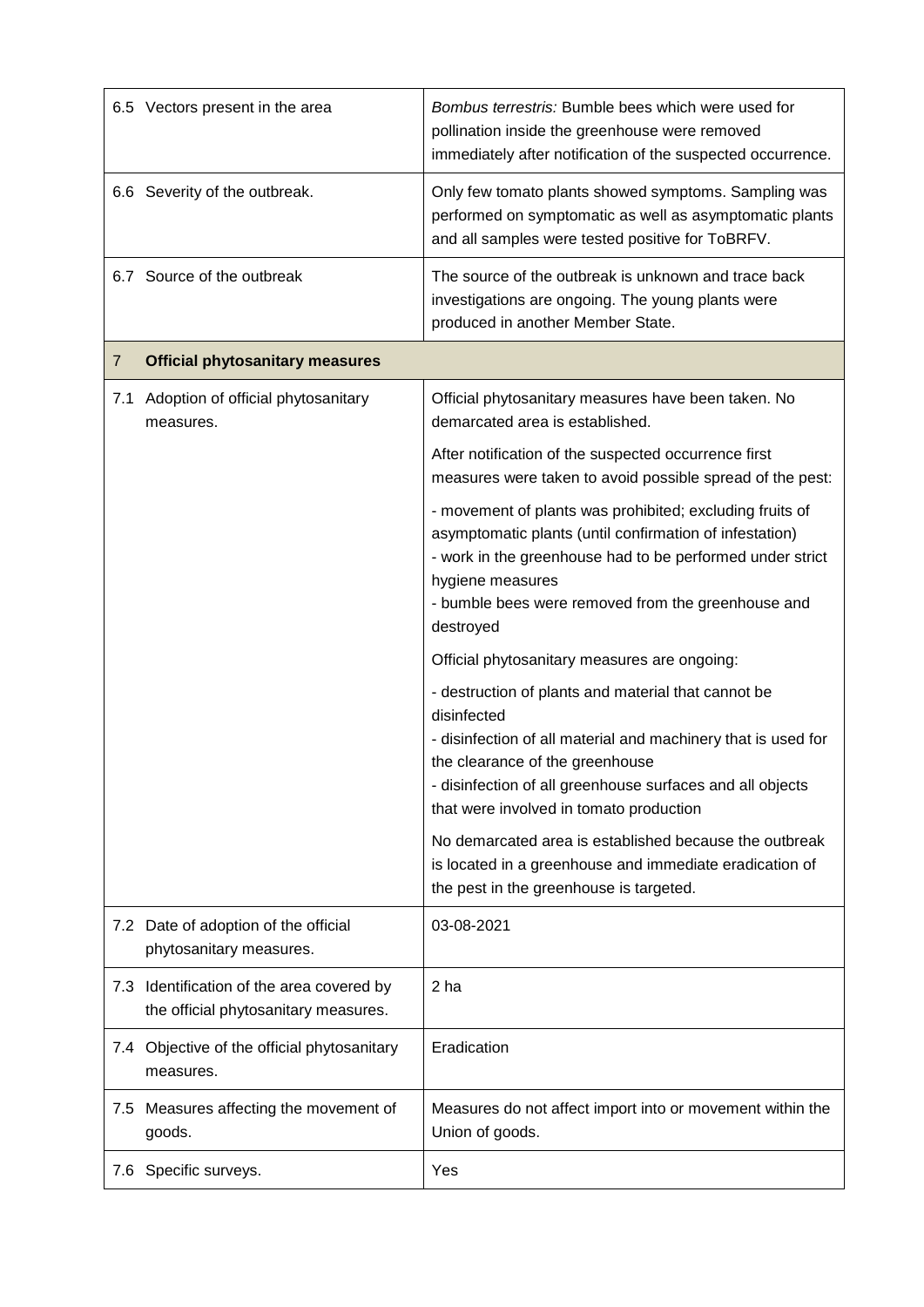|     | 6.5 Vectors present in the area                                                   | Bombus terrestris: Bumble bees which were used for<br>pollination inside the greenhouse were removed<br>immediately after notification of the suspected occurrence.                                                                                                            |
|-----|-----------------------------------------------------------------------------------|--------------------------------------------------------------------------------------------------------------------------------------------------------------------------------------------------------------------------------------------------------------------------------|
|     | 6.6 Severity of the outbreak.                                                     | Only few tomato plants showed symptoms. Sampling was<br>performed on symptomatic as well as asymptomatic plants<br>and all samples were tested positive for ToBRFV.                                                                                                            |
|     | 6.7 Source of the outbreak                                                        | The source of the outbreak is unknown and trace back<br>investigations are ongoing. The young plants were<br>produced in another Member State.                                                                                                                                 |
| 7   | <b>Official phytosanitary measures</b>                                            |                                                                                                                                                                                                                                                                                |
| 7.1 | Adoption of official phytosanitary<br>measures.                                   | Official phytosanitary measures have been taken. No<br>demarcated area is established.                                                                                                                                                                                         |
|     |                                                                                   | After notification of the suspected occurrence first<br>measures were taken to avoid possible spread of the pest:                                                                                                                                                              |
|     |                                                                                   | - movement of plants was prohibited; excluding fruits of<br>asymptomatic plants (until confirmation of infestation)<br>- work in the greenhouse had to be performed under strict<br>hygiene measures<br>- bumble bees were removed from the greenhouse and<br>destroyed        |
|     |                                                                                   | Official phytosanitary measures are ongoing:                                                                                                                                                                                                                                   |
|     |                                                                                   | - destruction of plants and material that cannot be<br>disinfected<br>- disinfection of all material and machinery that is used for<br>the clearance of the greenhouse<br>- disinfection of all greenhouse surfaces and all objects<br>that were involved in tomato production |
|     |                                                                                   | No demarcated area is established because the outbreak<br>is located in a greenhouse and immediate eradication of<br>the pest in the greenhouse is targeted.                                                                                                                   |
|     | 7.2 Date of adoption of the official<br>phytosanitary measures.                   | 03-08-2021                                                                                                                                                                                                                                                                     |
|     | 7.3 Identification of the area covered by<br>the official phytosanitary measures. | 2 ha                                                                                                                                                                                                                                                                           |
|     | 7.4 Objective of the official phytosanitary<br>measures.                          | Eradication                                                                                                                                                                                                                                                                    |
| 7.5 | Measures affecting the movement of<br>goods.                                      | Measures do not affect import into or movement within the<br>Union of goods.                                                                                                                                                                                                   |
|     | 7.6 Specific surveys.                                                             | Yes                                                                                                                                                                                                                                                                            |